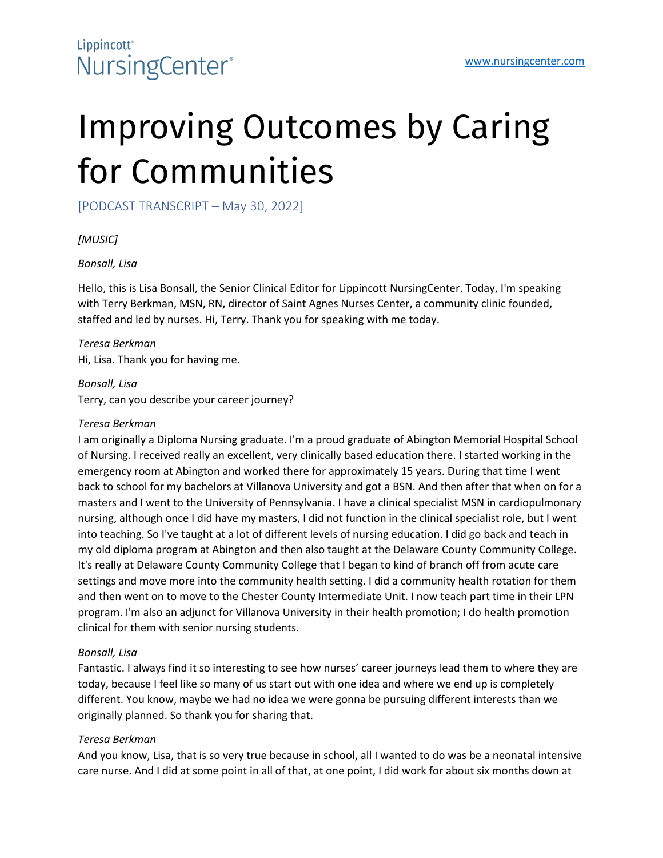# Improving Outcomes by Caring for Communities

[PODCAST TRANSCRIPT – May 30, 2022]

#### *[MUSIC]*

#### *Bonsall, Lisa*

Hello, this is Lisa Bonsall, the Senior Clinical Editor for Lippincott NursingCenter. Today, I'm speaking with Terry Berkman, MSN, RN, director of Saint Agnes Nurses Center, a community clinic founded, staffed and led by nurses. Hi, Terry. Thank you for speaking with me today.

*Teresa Berkman* Hi, Lisa. Thank you for having me.

*Bonsall, Lisa* Terry, can you describe your career journey?

#### *Teresa Berkman*

I am originally a Diploma Nursing graduate. I'm a proud graduate of Abington Memorial Hospital School of Nursing. I received really an excellent, very clinically based education there. I started working in the emergency room at Abington and worked there for approximately 15 years. During that time I went back to school for my bachelors at Villanova University and got a BSN. And then after that when on for a masters and I went to the University of Pennsylvania. I have a clinical specialist MSN in cardiopulmonary nursing, although once I did have my masters, I did not function in the clinical specialist role, but I went into teaching. So I've taught at a lot of different levels of nursing education. I did go back and teach in my old diploma program at Abington and then also taught at the Delaware County Community College. It's really at Delaware County Community College that I began to kind of branch off from acute care settings and move more into the community health setting. I did a community health rotation for them and then went on to move to the Chester County Intermediate Unit. I now teach part time in their LPN program. I'm also an adjunct for Villanova University in their health promotion; I do health promotion clinical for them with senior nursing students.

#### *Bonsall, Lisa*

Fantastic. I always find it so interesting to see how nurses' career journeys lead them to where they are today, because I feel like so many of us start out with one idea and where we end up is completely different. You know, maybe we had no idea we were gonna be pursuing different interests than we originally planned. So thank you for sharing that.

#### *Teresa Berkman*

And you know, Lisa, that is so very true because in school, all I wanted to do was be a neonatal intensive care nurse. And I did at some point in all of that, at one point, I did work for about six months down at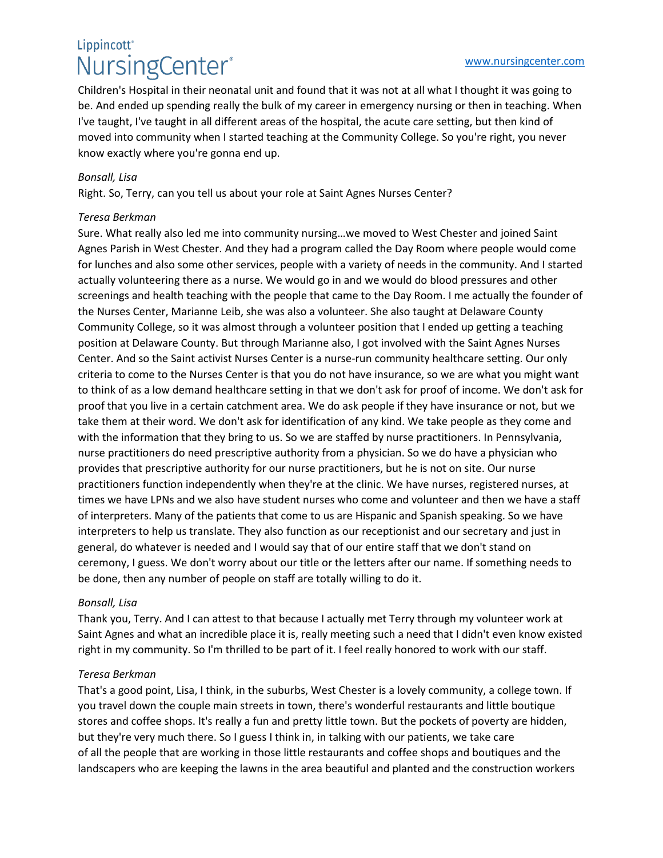### Lippincott<sup>®</sup> NursingCenter®

Children's Hospital in their neonatal unit and found that it was not at all what I thought it was going to be. And ended up spending really the bulk of my career in emergency nursing or then in teaching. When I've taught, I've taught in all different areas of the hospital, the acute care setting, but then kind of moved into community when I started teaching at the Community College. So you're right, you never know exactly where you're gonna end up.

#### *Bonsall, Lisa*

Right. So, Terry, can you tell us about your role at Saint Agnes Nurses Center?

#### *Teresa Berkman*

Sure. What really also led me into community nursing…we moved to West Chester and joined Saint Agnes Parish in West Chester. And they had a program called the Day Room where people would come for lunches and also some other services, people with a variety of needs in the community. And I started actually volunteering there as a nurse. We would go in and we would do blood pressures and other screenings and health teaching with the people that came to the Day Room. I me actually the founder of the Nurses Center, Marianne Leib, she was also a volunteer. She also taught at Delaware County Community College, so it was almost through a volunteer position that I ended up getting a teaching position at Delaware County. But through Marianne also, I got involved with the Saint Agnes Nurses Center. And so the Saint activist Nurses Center is a nurse-run community healthcare setting. Our only criteria to come to the Nurses Center is that you do not have insurance, so we are what you might want to think of as a low demand healthcare setting in that we don't ask for proof of income. We don't ask for proof that you live in a certain catchment area. We do ask people if they have insurance or not, but we take them at their word. We don't ask for identification of any kind. We take people as they come and with the information that they bring to us. So we are staffed by nurse practitioners. In Pennsylvania, nurse practitioners do need prescriptive authority from a physician. So we do have a physician who provides that prescriptive authority for our nurse practitioners, but he is not on site. Our nurse practitioners function independently when they're at the clinic. We have nurses, registered nurses, at times we have LPNs and we also have student nurses who come and volunteer and then we have a staff of interpreters. Many of the patients that come to us are Hispanic and Spanish speaking. So we have interpreters to help us translate. They also function as our receptionist and our secretary and just in general, do whatever is needed and I would say that of our entire staff that we don't stand on ceremony, I guess. We don't worry about our title or the letters after our name. If something needs to be done, then any number of people on staff are totally willing to do it.

#### *Bonsall, Lisa*

Thank you, Terry. And I can attest to that because I actually met Terry through my volunteer work at Saint Agnes and what an incredible place it is, really meeting such a need that I didn't even know existed right in my community. So I'm thrilled to be part of it. I feel really honored to work with our staff.

#### *Teresa Berkman*

That's a good point, Lisa, I think, in the suburbs, West Chester is a lovely community, a college town. If you travel down the couple main streets in town, there's wonderful restaurants and little boutique stores and coffee shops. It's really a fun and pretty little town. But the pockets of poverty are hidden, but they're very much there. So I guess I think in, in talking with our patients, we take care of all the people that are working in those little restaurants and coffee shops and boutiques and the landscapers who are keeping the lawns in the area beautiful and planted and the construction workers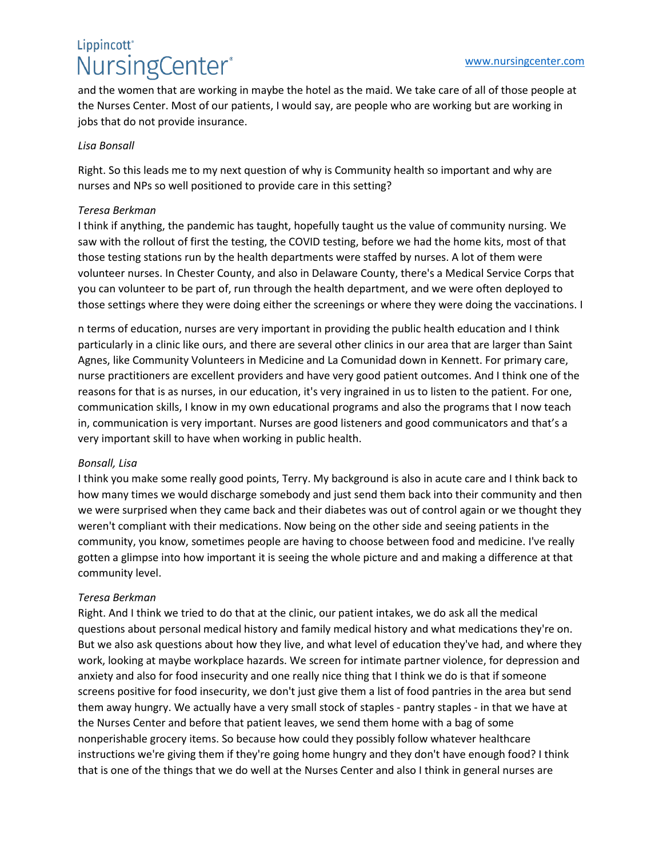### Lippincott<sup>®</sup> NursingCenter®

and the women that are working in maybe the hotel as the maid. We take care of all of those people at the Nurses Center. Most of our patients, I would say, are people who are working but are working in jobs that do not provide insurance.

#### *Lisa Bonsall*

Right. So this leads me to my next question of why is Community health so important and why are nurses and NPs so well positioned to provide care in this setting?

#### *Teresa Berkman*

I think if anything, the pandemic has taught, hopefully taught us the value of community nursing. We saw with the rollout of first the testing, the COVID testing, before we had the home kits, most of that those testing stations run by the health departments were staffed by nurses. A lot of them were volunteer nurses. In Chester County, and also in Delaware County, there's a Medical Service Corps that you can volunteer to be part of, run through the health department, and we were often deployed to those settings where they were doing either the screenings or where they were doing the vaccinations. I

n terms of education, nurses are very important in providing the public health education and I think particularly in a clinic like ours, and there are several other clinics in our area that are larger than Saint Agnes, like Community Volunteers in Medicine and La Comunidad down in Kennett. For primary care, nurse practitioners are excellent providers and have very good patient outcomes. And I think one of the reasons for that is as nurses, in our education, it's very ingrained in us to listen to the patient. For one, communication skills, I know in my own educational programs and also the programs that I now teach in, communication is very important. Nurses are good listeners and good communicators and that's a very important skill to have when working in public health.

#### *Bonsall, Lisa*

I think you make some really good points, Terry. My background is also in acute care and I think back to how many times we would discharge somebody and just send them back into their community and then we were surprised when they came back and their diabetes was out of control again or we thought they weren't compliant with their medications. Now being on the other side and seeing patients in the community, you know, sometimes people are having to choose between food and medicine. I've really gotten a glimpse into how important it is seeing the whole picture and and making a difference at that community level.

#### *Teresa Berkman*

Right. And I think we tried to do that at the clinic, our patient intakes, we do ask all the medical questions about personal medical history and family medical history and what medications they're on. But we also ask questions about how they live, and what level of education they've had, and where they work, looking at maybe workplace hazards. We screen for intimate partner violence, for depression and anxiety and also for food insecurity and one really nice thing that I think we do is that if someone screens positive for food insecurity, we don't just give them a list of food pantries in the area but send them away hungry. We actually have a very small stock of staples - pantry staples - in that we have at the Nurses Center and before that patient leaves, we send them home with a bag of some nonperishable grocery items. So because how could they possibly follow whatever healthcare instructions we're giving them if they're going home hungry and they don't have enough food? I think that is one of the things that we do well at the Nurses Center and also I think in general nurses are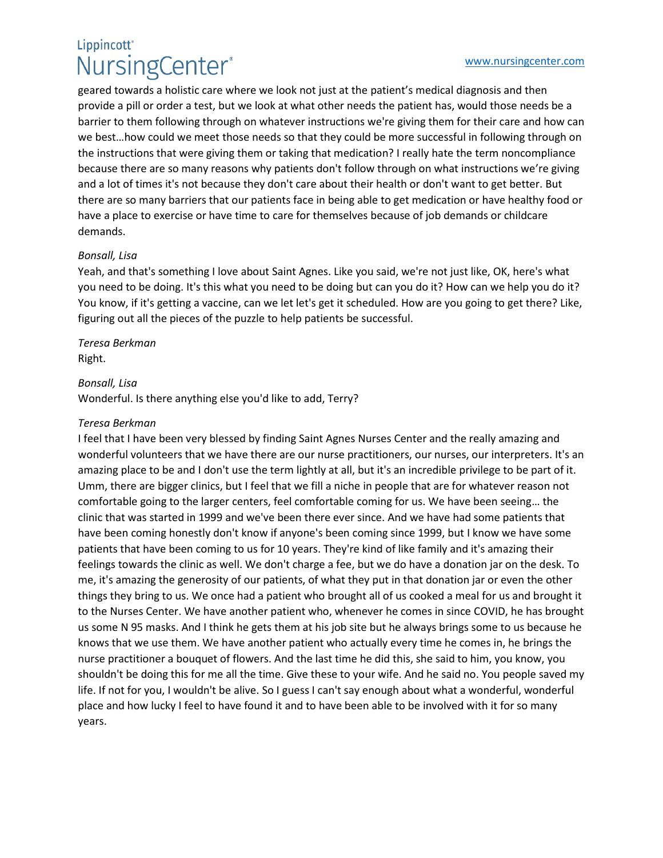### Lippincott<sup>®</sup> NursingCenter®

geared towards a holistic care where we look not just at the patient's medical diagnosis and then provide a pill or order a test, but we look at what other needs the patient has, would those needs be a barrier to them following through on whatever instructions we're giving them for their care and how can we best…how could we meet those needs so that they could be more successful in following through on the instructions that were giving them or taking that medication? I really hate the term noncompliance because there are so many reasons why patients don't follow through on what instructions we're giving and a lot of times it's not because they don't care about their health or don't want to get better. But there are so many barriers that our patients face in being able to get medication or have healthy food or have a place to exercise or have time to care for themselves because of job demands or childcare demands.

#### *Bonsall, Lisa*

Yeah, and that's something I love about Saint Agnes. Like you said, we're not just like, OK, here's what you need to be doing. It's this what you need to be doing but can you do it? How can we help you do it? You know, if it's getting a vaccine, can we let let's get it scheduled. How are you going to get there? Like, figuring out all the pieces of the puzzle to help patients be successful.

*Teresa Berkman*  Right.

#### *Bonsall, Lisa*

Wonderful. Is there anything else you'd like to add, Terry?

#### *Teresa Berkman*

I feel that I have been very blessed by finding Saint Agnes Nurses Center and the really amazing and wonderful volunteers that we have there are our nurse practitioners, our nurses, our interpreters. It's an amazing place to be and I don't use the term lightly at all, but it's an incredible privilege to be part of it. Umm, there are bigger clinics, but I feel that we fill a niche in people that are for whatever reason not comfortable going to the larger centers, feel comfortable coming for us. We have been seeing… the clinic that was started in 1999 and we've been there ever since. And we have had some patients that have been coming honestly don't know if anyone's been coming since 1999, but I know we have some patients that have been coming to us for 10 years. They're kind of like family and it's amazing their feelings towards the clinic as well. We don't charge a fee, but we do have a donation jar on the desk. To me, it's amazing the generosity of our patients, of what they put in that donation jar or even the other things they bring to us. We once had a patient who brought all of us cooked a meal for us and brought it to the Nurses Center. We have another patient who, whenever he comes in since COVID, he has brought us some N 95 masks. And I think he gets them at his job site but he always brings some to us because he knows that we use them. We have another patient who actually every time he comes in, he brings the nurse practitioner a bouquet of flowers. And the last time he did this, she said to him, you know, you shouldn't be doing this for me all the time. Give these to your wife. And he said no. You people saved my life. If not for you, I wouldn't be alive. So I guess I can't say enough about what a wonderful, wonderful place and how lucky I feel to have found it and to have been able to be involved with it for so many years.